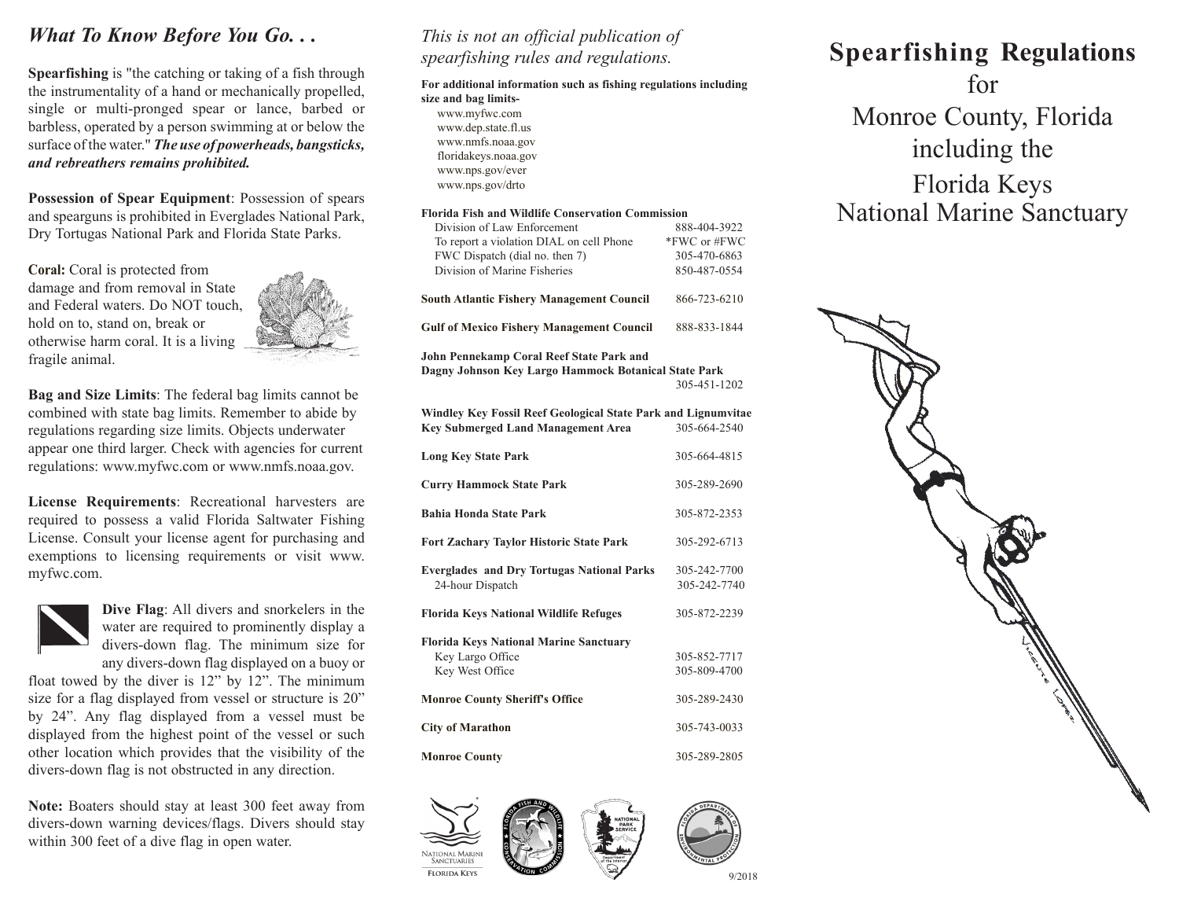## *What To Know Before You Go. . .*

**Spearfishing** is "the catching or taking of a fish through the instrumentality of a hand or mechanically propelled, single or multi-pronged spear or lance, barbed or barbless, operated by a person swimming at or below the surface of the water." *The use of powerheads, bangsticks, and rebreathers remains prohibited.*

**Possession of Spear Equipment**: Possession of spears and spearguns is prohibited in Everglades National Park, Dry Tortugas National Park and Florida State Parks.

**Coral:** Coral is protected from damage and from removal in State and Federal waters. Do NOT touch, hold on to, stand on, break or otherwise harm coral. It is a living fragile animal.



**Bag and Size Limits**: The federal bag limits cannot be combined with state bag limits. Remember to abide by regulations regarding size limits. Objects underwater appear one third larger. Check with agencies for current regulations: www.myfwc.com or www.nmfs.noaa.gov.

**License Requirements**: Recreational harvesters are required to possess a valid Florida Saltwater Fishing License. Consult your license agent for purchasing and exemptions to licensing requirements or visit www. myfwc.com.



**Dive Flag**: All divers and snorkelers in the water are required to prominently display a divers-down flag. The minimum size for any divers-down flag displayed on a buoy or

float towed by the diver is 12" by 12". The minimum size for a flag displayed from vessel or structure is 20" by 24". Any flag displayed from a vessel must be displayed from the highest point of the vessel or such other location which provides that the visibility of the divers-down flag is not obstructed in any direction.

**Note:** Boaters should stay at least 300 feet away from divers-down warning devices/flags. Divers should stay within 300 feet of a dive flag in open water.

#### *This is not an official publication of spearfishing rules and regulations.*

**For additional information such as fishing regulations including size and bag limits**www.myfwc.com www.dep.state.fl.us www.nmfs.noaa.gov floridakeys.noaa.gov www.nps.gov/ever www.nps.gov/drto **Florida Fish and Wildlife Conservation Commission** Division of Law Enforcement 888-404-3922 To report a violation DIAL on cell Phone \*FWC or #FWC FWC Dispatch (dial no. then 7) 305-470-6863 Division of Marine Fisheries 850-487-0554 **South Atlantic Fishery Management Council 866-723-6210 Gulf of Mexico Fishery Management Council** 888-833-1844 **John Pennekamp Coral Reef State Park and Dagny Johnson Key Largo Hammock Botanical State Park**  305-451-1202 **Windley Key Fossil Reef Geological State Park and Lignumvitae Key Submerged Land Management Area** 305-664-2540 **Long Key State Park** 305-664-4815 **Curry Hammock State Park** 305-289-2690 **Bahia Honda State Park** 305-872-2353 **Fort Zachary Taylor Historic State Park** 305-292-6713 **Everglades and Dry Tortugas National Parks** 305-242-7700 24-hour Dispatch 305-242-7740 **Florida Keys National Wildlife Refuges** 305-872-2239 **Florida Keys National Marine Sanctuary** Key Largo Office 305-852-7717 Key West Office 305-809-4700 **Monroe County Sheriff's Office** 305-289-2430 **City of Marathon** 305-743-0033 **Monroe County** 305-289-2805



# **Spearfishing Regulations** for Monroe County, Florida including the Florida Keys National Marine Sanctuary